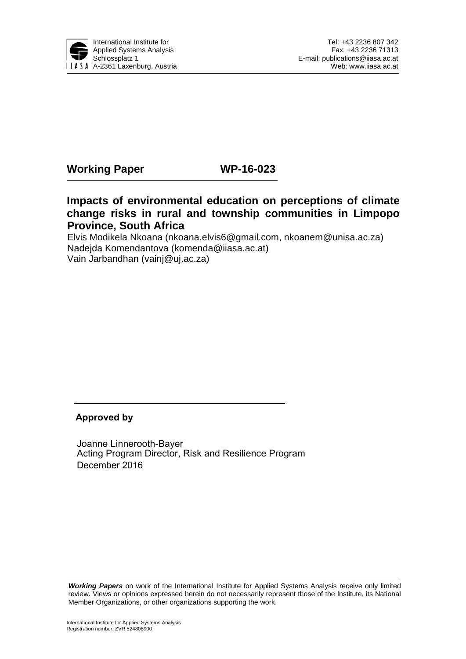

## **Working Paper WP-16-023**

## **Impacts of environmental education on perceptions of climate change risks in rural and township communities in Limpopo Province, South Africa**

Elvis Modikela Nkoana [\(nkoana.elvis6@gmail.com,](mailto:nkoana.elvis6@gmail.com) [nkoanem@unisa.ac.za](mailto:nkoanem@unisa.ac.za)) Nadejda Komendantova (komenda@iiasa.ac.at) Vain Jarbandhan (vainj@uj.ac.za)

#### **Approved by**

Joanne Linnerooth-Bayer Acting Program Director, Risk and Resilience Program December 2016

**Working Papers** on work of the International Institute for Applied Systems Analysis receive only limited review. Views or opinions expressed herein do not necessarily represent those of the Institute, its National Member Organizations, or other organizations supporting the work.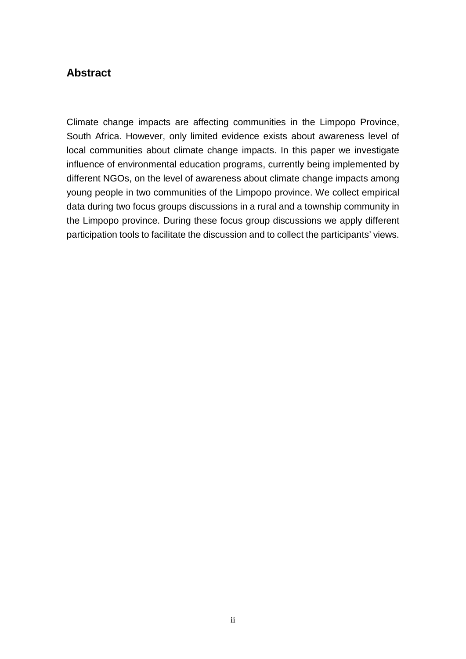## **Abstract**

Climate change impacts are affecting communities in the Limpopo Province, South Africa. However, only limited evidence exists about awareness level of local communities about climate change impacts. In this paper we investigate influence of environmental education programs, currently being implemented by different NGOs, on the level of awareness about climate change impacts among young people in two communities of the Limpopo province. We collect empirical data during two focus groups discussions in a rural and a township community in the Limpopo province. During these focus group discussions we apply different participation tools to facilitate the discussion and to collect the participants' views.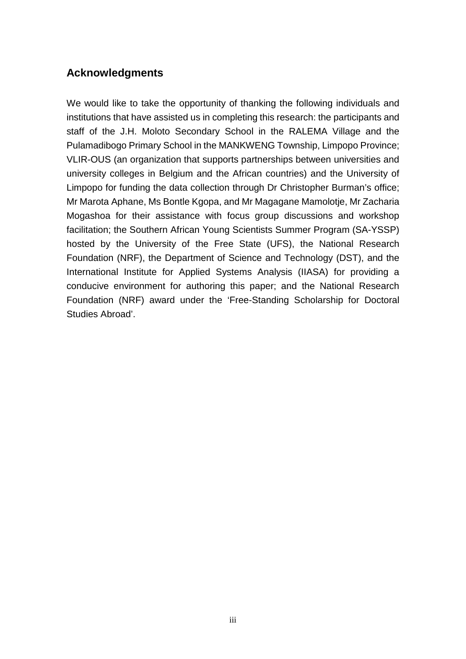## **Acknowledgments**

We would like to take the opportunity of thanking the following individuals and institutions that have assisted us in completing this research: the participants and staff of the J.H. Moloto Secondary School in the RALEMA Village and the Pulamadibogo Primary School in the MANKWENG Township, Limpopo Province; VLIR-OUS (an organization that supports partnerships between universities and university colleges in Belgium and the African countries) and the University of Limpopo for funding the data collection through Dr Christopher Burman's office; Mr Marota Aphane, Ms Bontle Kgopa, and Mr Magagane Mamolotje, Mr Zacharia Mogashoa for their assistance with focus group discussions and workshop facilitation; the Southern African Young Scientists Summer Program (SA-YSSP) hosted by the University of the Free State (UFS), the National Research Foundation (NRF), the Department of Science and Technology (DST), and the International Institute for Applied Systems Analysis (IIASA) for providing a conducive environment for authoring this paper; and the National Research Foundation (NRF) award under the 'Free-Standing Scholarship for Doctoral Studies Abroad'.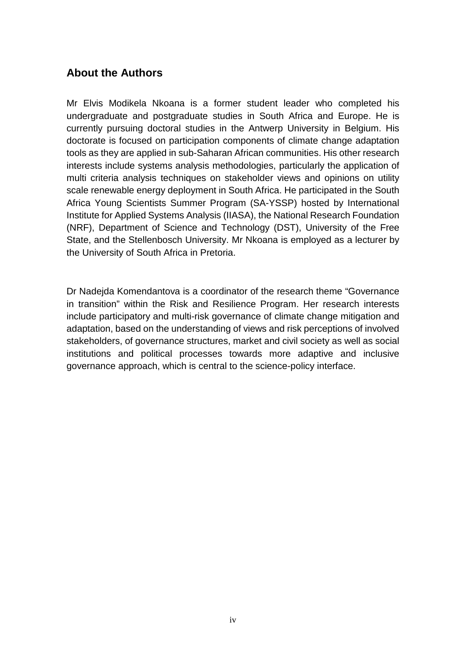## **About the Authors**

Mr Elvis Modikela Nkoana is a former student leader who completed his undergraduate and postgraduate studies in South Africa and Europe. He is currently pursuing doctoral studies in the Antwerp University in Belgium. His doctorate is focused on participation components of climate change adaptation tools as they are applied in sub-Saharan African communities. His other research interests include systems analysis methodologies, particularly the application of multi criteria analysis techniques on stakeholder views and opinions on utility scale renewable energy deployment in South Africa. He participated in the South Africa Young Scientists Summer Program (SA-YSSP) hosted by International Institute for Applied Systems Analysis (IIASA), the National Research Foundation (NRF), Department of Science and Technology (DST), University of the Free State, and the Stellenbosch University. Mr Nkoana is employed as a lecturer by the University of South Africa in Pretoria.

Dr Nadejda Komendantova is a coordinator of the research theme "Governance in transition" within the Risk and Resilience Program. Her research interests include participatory and multi-risk governance of climate change mitigation and adaptation, based on the understanding of views and risk perceptions of involved stakeholders, of governance structures, market and civil society as well as social institutions and political processes towards more adaptive and inclusive governance approach, which is central to the science-policy interface.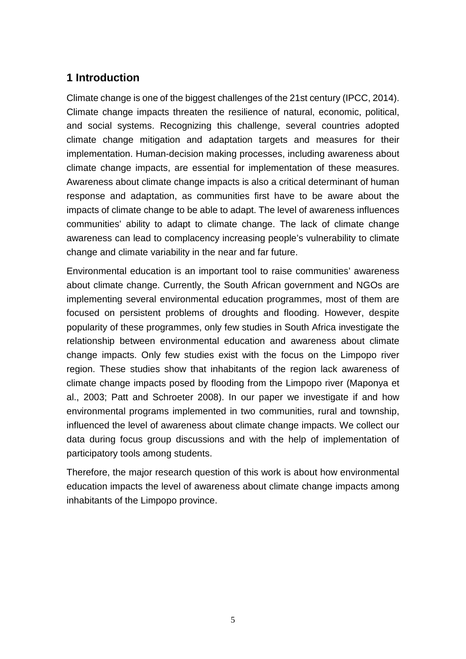## **1 Introduction**

Climate change is one of the biggest challenges of the 21st century (IPCC, 2014). Climate change impacts threaten the resilience of natural, economic, political, and social systems. Recognizing this challenge, several countries adopted climate change mitigation and adaptation targets and measures for their implementation. Human-decision making processes, including awareness about climate change impacts, are essential for implementation of these measures. Awareness about climate change impacts is also a critical determinant of human response and adaptation, as communities first have to be aware about the impacts of climate change to be able to adapt. The level of awareness influences communities' ability to adapt to climate change. The lack of climate change awareness can lead to complacency increasing people's vulnerability to climate change and climate variability in the near and far future.

Environmental education is an important tool to raise communities' awareness about climate change. Currently, the South African government and NGOs are implementing several environmental education programmes, most of them are focused on persistent problems of droughts and flooding. However, despite popularity of these programmes, only few studies in South Africa investigate the relationship between environmental education and awareness about climate change impacts. Only few studies exist with the focus on the Limpopo river region. These studies show that inhabitants of the region lack awareness of climate change impacts posed by flooding from the Limpopo river (Maponya et al., 2003; Patt and Schroeter 2008). In our paper we investigate if and how environmental programs implemented in two communities, rural and township, influenced the level of awareness about climate change impacts. We collect our data during focus group discussions and with the help of implementation of participatory tools among students.

Therefore, the major research question of this work is about how environmental education impacts the level of awareness about climate change impacts among inhabitants of the Limpopo province.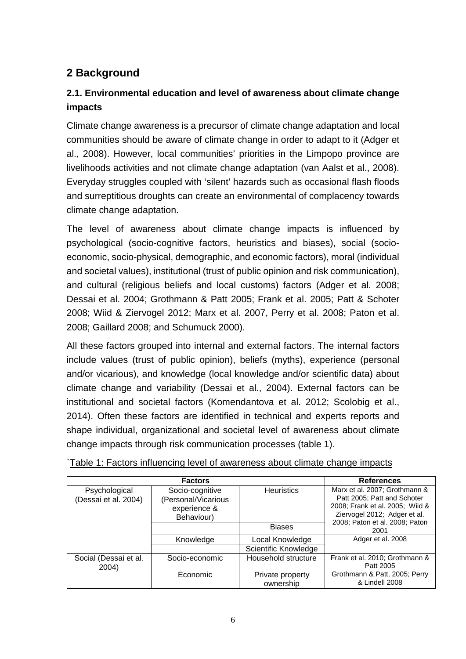# **2 Background**

## **2.1. Environmental education and level of awareness about climate change impacts**

Climate change awareness is a precursor of climate change adaptation and local communities should be aware of climate change in order to adapt to it (Adger et al., 2008). However, local communities' priorities in the Limpopo province are livelihoods activities and not climate change adaptation (van Aalst et al., 2008). Everyday struggles coupled with 'silent' hazards such as occasional flash floods and surreptitious droughts can create an environmental of complacency towards climate change adaptation.

The level of awareness about climate change impacts is influenced by psychological (socio-cognitive factors, heuristics and biases), social (socioeconomic, socio-physical, demographic, and economic factors), moral (individual and societal values), institutional (trust of public opinion and risk communication), and cultural (religious beliefs and local customs) factors (Adger et al. 2008; Dessai et al. 2004; Grothmann & Patt 2005; Frank et al. 2005; Patt & Schoter 2008; Wiid & Ziervogel 2012; Marx et al. 2007, Perry et al. 2008; Paton et al. 2008; Gaillard 2008; and Schumuck 2000).

All these factors grouped into internal and external factors. The internal factors include values (trust of public opinion), beliefs (myths), experience (personal and/or vicarious), and knowledge (local knowledge and/or scientific data) about climate change and variability (Dessai et al., 2004). External factors can be institutional and societal factors (Komendantova et al. 2012; Scolobig et al., 2014). Often these factors are identified in technical and experts reports and shape individual, organizational and societal level of awareness about climate change impacts through risk communication processes (table 1).

|                                       | <b>Factors</b>                                                       |                               |                                                                                                                                 |  |
|---------------------------------------|----------------------------------------------------------------------|-------------------------------|---------------------------------------------------------------------------------------------------------------------------------|--|
|                                       | <b>References</b>                                                    |                               |                                                                                                                                 |  |
| Psychological<br>(Dessai et al. 2004) | Socio-cognitive<br>(Personal/Vicarious<br>experience &<br>Behaviour) | <b>Heuristics</b>             | Marx et al. 2007; Grothmann &<br>Patt 2005; Patt and Schoter<br>2008; Frank et al. 2005; Wiid &<br>Ziervogel 2012; Adger et al. |  |
|                                       |                                                                      | <b>Biases</b>                 | 2008; Paton et al. 2008; Paton<br>2001                                                                                          |  |
|                                       | Knowledge                                                            | Local Knowledge               | Adger et al. 2008                                                                                                               |  |
|                                       |                                                                      | Scientific Knowledge          |                                                                                                                                 |  |
| Social (Dessai et al.<br>2004)        | Socio-economic                                                       | Household structure           | Frank et al. 2010; Grothmann &<br>Patt 2005                                                                                     |  |
|                                       | Economic                                                             | Private property<br>ownership | Grothmann & Patt, 2005; Perry<br>& Lindell 2008                                                                                 |  |

`Table 1: Factors influencing level of awareness about climate change impacts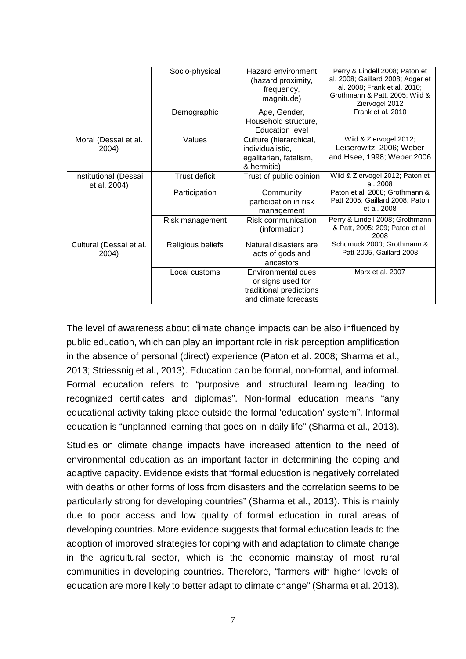|                                       | Socio-physical    | Hazard environment<br>(hazard proximity,<br>frequency,<br>magnitude)                        | Perry & Lindell 2008; Paton et<br>al. 2008; Gaillard 2008; Adger et<br>al. 2008; Frank et al. 2010;<br>Grothmann & Patt, 2005; Wiid &<br>Ziervogel 2012 |
|---------------------------------------|-------------------|---------------------------------------------------------------------------------------------|---------------------------------------------------------------------------------------------------------------------------------------------------------|
|                                       | Demographic       | Age, Gender,<br>Household structure,<br><b>Education level</b>                              | Frank et al. 2010                                                                                                                                       |
| Moral (Dessai et al.<br>2004)         | Values            | Culture (hierarchical,<br>individualistic,<br>egalitarian, fatalism,<br>& hermitic)         | Wiid & Ziervogel 2012;<br>Leiserowitz, 2006; Weber<br>and Hsee, 1998; Weber 2006                                                                        |
| Institutional (Dessai<br>et al. 2004) | Trust deficit     | Trust of public opinion                                                                     | Wiid & Ziervogel 2012; Paton et<br>al. 2008                                                                                                             |
|                                       | Participation     | Community<br>participation in risk<br>management                                            | Paton et al. 2008; Grothmann &<br>Patt 2005; Gaillard 2008; Paton<br>et al. 2008                                                                        |
|                                       | Risk management   | Risk communication<br>(information)                                                         | Perry & Lindell 2008; Grothmann<br>& Patt, 2005: 209; Paton et al.<br>2008                                                                              |
| Cultural (Dessai et al.<br>2004)      | Religious beliefs | Natural disasters are<br>acts of gods and<br>ancestors                                      | Schumuck 2000: Grothmann &<br>Patt 2005, Gaillard 2008                                                                                                  |
|                                       | Local customs     | Environmental cues<br>or signs used for<br>traditional predictions<br>and climate forecasts | Marx et al. 2007                                                                                                                                        |

The level of awareness about climate change impacts can be also influenced by public education, which can play an important role in risk perception amplification in the absence of personal (direct) experience (Paton et al. 2008; Sharma et al., 2013; Striessnig et al., 2013). Education can be formal, non-formal, and informal. Formal education refers to "purposive and structural learning leading to recognized certificates and diplomas". Non-formal education means "any educational activity taking place outside the formal 'education' system". Informal education is "unplanned learning that goes on in daily life" (Sharma et al., 2013).

Studies on climate change impacts have increased attention to the need of environmental education as an important factor in determining the coping and adaptive capacity. Evidence exists that "formal education is negatively correlated with deaths or other forms of loss from disasters and the correlation seems to be particularly strong for developing countries" (Sharma et al., 2013). This is mainly due to poor access and low quality of formal education in rural areas of developing countries. More evidence suggests that formal education leads to the adoption of improved strategies for coping with and adaptation to climate change in the agricultural sector, which is the economic mainstay of most rural communities in developing countries. Therefore, "farmers with higher levels of education are more likely to better adapt to climate change" (Sharma et al. 2013).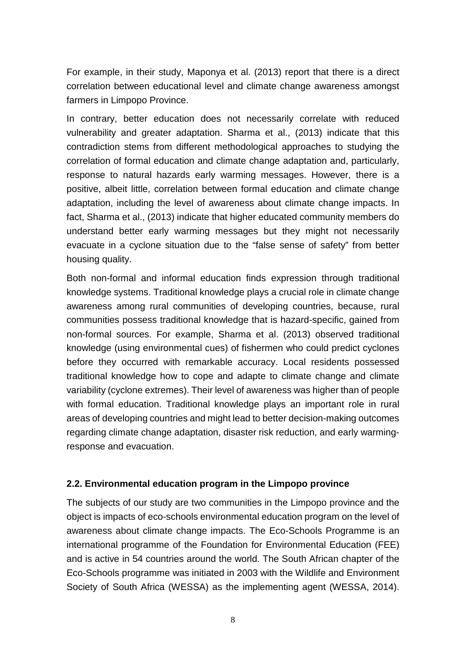For example, in their study, Maponya et al. (2013) report that there is a direct correlation between educational level and climate change awareness amongst farmers in Limpopo Province.

In contrary, better education does not necessarily correlate with reduced vulnerability and greater adaptation. Sharma et al., (2013) indicate that this contradiction stems from different methodological approaches to studying the correlation of formal education and climate change adaptation and, particularly, response to natural hazards early warming messages. However, there is a positive, albeit little, correlation between formal education and climate change adaptation, including the level of awareness about climate change impacts. In fact, Sharma et al., (2013) indicate that higher educated community members do understand better early warming messages but they might not necessarily evacuate in a cyclone situation due to the "false sense of safety" from better housing quality.

Both non-formal and informal education finds expression through traditional knowledge systems. Traditional knowledge plays a crucial role in climate change awareness among rural communities of developing countries, because, rural communities possess traditional knowledge that is hazard-specific, gained from non-formal sources. For example, Sharma et al. (2013) observed traditional knowledge (using environmental cues) of fishermen who could predict cyclones before they occurred with remarkable accuracy. Local residents possessed traditional knowledge how to cope and adapte to climate change and climate variability (cyclone extremes). Their level of awareness was higher than of people with formal education. Traditional knowledge plays an important role in rural areas of developing countries and might lead to better decision-making outcomes regarding climate change adaptation, disaster risk reduction, and early warmingresponse and evacuation.

#### **2.2. Environmental education program in the Limpopo province**

The subjects of our study are two communities in the Limpopo province and the object is impacts of eco-schools environmental education program on the level of awareness about climate change impacts. The Eco-Schools Programme is an international programme of the Foundation for Environmental Education (FEE) and is active in 54 countries around the world. The South African chapter of the Eco-Schools programme was initiated in 2003 with the Wildlife and Environment Society of South Africa (WESSA) as the implementing agent (WESSA, 2014).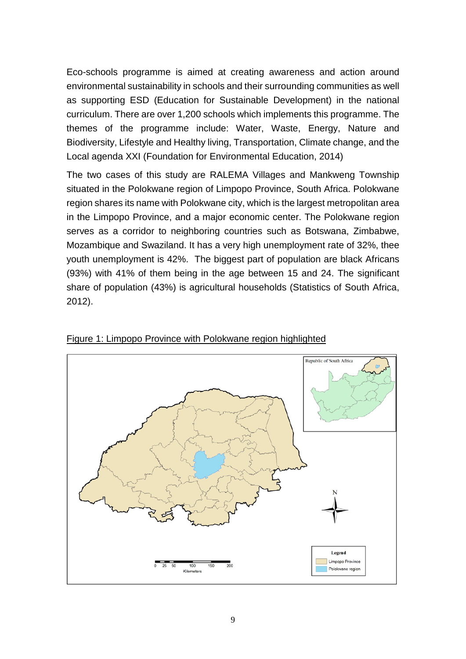Eco-schools programme is aimed at creating awareness and action around environmental sustainability in schools and their surrounding communities as well as supporting ESD (Education for Sustainable Development) in the national curriculum. There are over 1,200 schools which implements this programme. The themes of the programme include: Water, Waste, Energy, Nature and Biodiversity, Lifestyle and Healthy living, Transportation, Climate change, and the Local agenda XXI (Foundation for Environmental Education, 2014)

The two cases of this study are RALEMA Villages and Mankweng Township situated in the Polokwane region of Limpopo Province, South Africa. Polokwane region shares its name with Polokwane city, which is the largest metropolitan area in the Limpopo Province, and a major economic center. The Polokwane region serves as a corridor to neighboring countries such as Botswana, Zimbabwe, Mozambique and Swaziland. It has a very high unemployment rate of 32%, thee youth unemployment is 42%. The biggest part of population are black Africans (93%) with 41% of them being in the age between 15 and 24. The significant share of population (43%) is agricultural households (Statistics of South Africa, 2012).



Figure 1: Limpopo Province with Polokwane region highlighted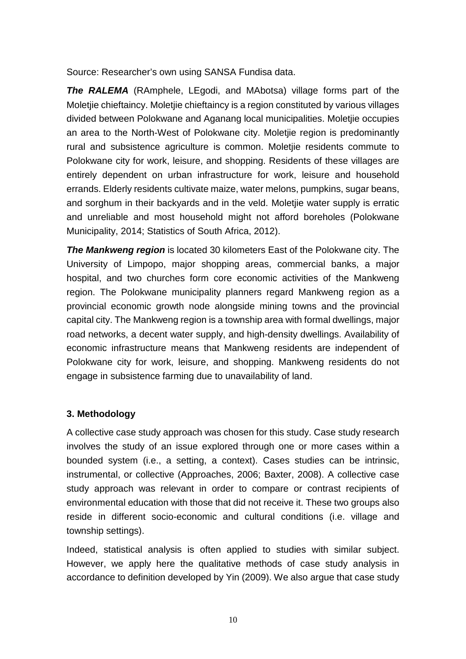Source: Researcher's own using SANSA Fundisa data.

*The RALEMA* (RAmphele, LEgodi, and MAbotsa) village forms part of the Moletjie chieftaincy. Moletjie chieftaincy is a region constituted by various villages divided between Polokwane and Aganang local municipalities. Moletjie occupies an area to the North-West of Polokwane city. Moletjie region is predominantly rural and subsistence agriculture is common. Moletjie residents commute to Polokwane city for work, leisure, and shopping. Residents of these villages are entirely dependent on urban infrastructure for work, leisure and household errands. Elderly residents cultivate maize, water melons, pumpkins, sugar beans, and sorghum in their backyards and in the veld. Moletjie water supply is erratic and unreliable and most household might not afford boreholes (Polokwane Municipality, 2014; Statistics of South Africa, 2012).

*The Mankweng region* is located 30 kilometers East of the Polokwane city. The University of Limpopo, major shopping areas, commercial banks, a major hospital, and two churches form core economic activities of the Mankweng region. The Polokwane municipality planners regard Mankweng region as a provincial economic growth node alongside mining towns and the provincial capital city. The Mankweng region is a township area with formal dwellings, major road networks, a decent water supply, and high-density dwellings. Availability of economic infrastructure means that Mankweng residents are independent of Polokwane city for work, leisure, and shopping. Mankweng residents do not engage in subsistence farming due to unavailability of land.

#### **3. Methodology**

A collective case study approach was chosen for this study. Case study research involves the study of an issue explored through one or more cases within a bounded system (i.e., a setting, a context). Cases studies can be intrinsic, instrumental, or collective (Approaches, 2006; Baxter, 2008). A collective case study approach was relevant in order to compare or contrast recipients of environmental education with those that did not receive it. These two groups also reside in different socio-economic and cultural conditions (i.e. village and township settings).

Indeed, statistical analysis is often applied to studies with similar subject. However, we apply here the qualitative methods of case study analysis in accordance to definition developed by Yin (2009). We also argue that case study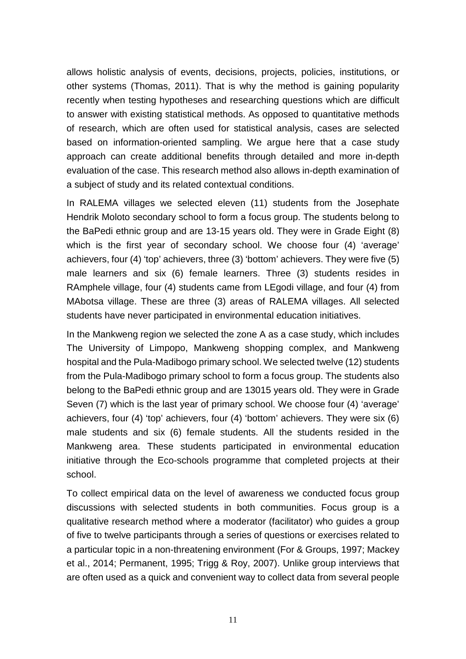allows holistic analysis of events, decisions, projects, policies, institutions, or other systems (Thomas, 2011). That is why the method is gaining popularity recently when testing hypotheses and researching questions which are difficult to answer with existing statistical methods. As opposed to quantitative methods of research, which are often used for statistical analysis, cases are selected based on information-oriented sampling. We argue here that a case study approach can create additional benefits through detailed and more in-depth evaluation of the case. This research method also allows in-depth examination of a subject of study and its related contextual conditions.

In RALEMA villages we selected eleven (11) students from the Josephate Hendrik Moloto secondary school to form a focus group. The students belong to the BaPedi ethnic group and are 13-15 years old. They were in Grade Eight (8) which is the first year of secondary school. We choose four (4) 'average' achievers, four (4) 'top' achievers, three (3) 'bottom' achievers. They were five (5) male learners and six (6) female learners. Three (3) students resides in RAmphele village, four (4) students came from LEgodi village, and four (4) from MAbotsa village. These are three (3) areas of RALEMA villages. All selected students have never participated in environmental education initiatives.

In the Mankweng region we selected the zone A as a case study, which includes The University of Limpopo, Mankweng shopping complex, and Mankweng hospital and the Pula-Madibogo primary school. We selected twelve (12) students from the Pula-Madibogo primary school to form a focus group. The students also belong to the BaPedi ethnic group and are 13015 years old. They were in Grade Seven (7) which is the last year of primary school. We choose four (4) 'average' achievers, four (4) 'top' achievers, four (4) 'bottom' achievers. They were six (6) male students and six (6) female students. All the students resided in the Mankweng area. These students participated in environmental education initiative through the Eco-schools programme that completed projects at their school.

To collect empirical data on the level of awareness we conducted focus group discussions with selected students in both communities. Focus group is a qualitative research method where a moderator (facilitator) who guides a group of five to twelve participants through a series of questions or exercises related to a particular topic in a non-threatening environment (For & Groups, 1997; Mackey et al., 2014; Permanent, 1995; Trigg & Roy, 2007). Unlike group interviews that are often used as a quick and convenient way to collect data from several people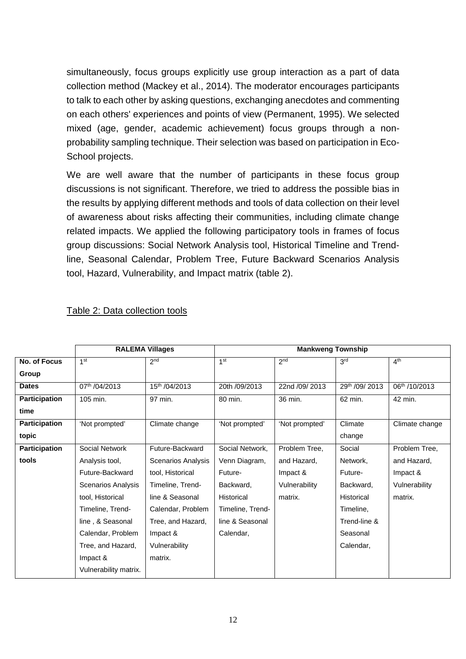simultaneously, focus groups explicitly use group interaction as a part of data collection method (Mackey et al., 2014). The moderator encourages participants to talk to each other by asking questions, exchanging anecdotes and commenting on each others' experiences and points of view (Permanent, 1995). We selected mixed (age, gender, academic achievement) focus groups through a nonprobability sampling technique. Their selection was based on participation in Eco-School projects.

We are well aware that the number of participants in these focus group discussions is not significant. Therefore, we tried to address the possible bias in the results by applying different methods and tools of data collection on their level of awareness about risks affecting their communities, including climate change related impacts. We applied the following participatory tools in frames of focus group discussions: Social Network Analysis tool, Historical Timeline and Trendline, Seasonal Calendar, Problem Tree, Future Backward Scenarios Analysis tool, Hazard, Vulnerability, and Impact matrix (table 2).

|                      | <b>RALEMA Villages</b> |                           | <b>Mankweng Township</b> |                 |                 |                 |  |  |
|----------------------|------------------------|---------------------------|--------------------------|-----------------|-----------------|-----------------|--|--|
| No. of Focus         | 1 <sup>st</sup>        | 2 <sub>nd</sub>           | 1 <sup>st</sup>          | 2 <sub>nd</sub> | 3 <sup>rd</sup> | 4 <sup>th</sup> |  |  |
| Group                |                        |                           |                          |                 |                 |                 |  |  |
| <b>Dates</b>         | 07th /04/2013          | $15^{th}$ /04/2013        | 20th /09/2013            | 22nd /09/ 2013  | 29th /09/ 2013  | 06th /10/2013   |  |  |
| <b>Participation</b> | 105 min.               | 97 min.                   | 80 min.                  | 36 min.         | 62 min.         | 42 min.         |  |  |
| time                 |                        |                           |                          |                 |                 |                 |  |  |
| <b>Participation</b> | 'Not prompted'         | Climate change            | 'Not prompted'           | 'Not prompted'  | Climate         | Climate change  |  |  |
| topic                |                        |                           |                          |                 | change          |                 |  |  |
| <b>Participation</b> | Social Network         | Future-Backward           | Social Network,          | Problem Tree,   | Social          | Problem Tree,   |  |  |
| tools                | Analysis tool,         | <b>Scenarios Analysis</b> | Venn Diagram,            | and Hazard.     | Network,        | and Hazard,     |  |  |
|                      | Future-Backward        | tool, Historical          | Future-                  | Impact &        | Future-         | Impact &        |  |  |
|                      | Scenarios Analysis     | Timeline, Trend-          | Backward,                | Vulnerability   | Backward,       | Vulnerability   |  |  |
|                      | tool, Historical       | line & Seasonal           | Historical               | matrix.         | Historical      | matrix.         |  |  |
|                      | Timeline, Trend-       | Calendar, Problem         | Timeline, Trend-         |                 | Timeline,       |                 |  |  |
|                      | line, & Seasonal       | Tree, and Hazard,         | line & Seasonal          |                 | Trend-line &    |                 |  |  |
|                      | Calendar, Problem      | Impact &                  | Calendar,                |                 | Seasonal        |                 |  |  |
|                      | Tree, and Hazard,      | Vulnerability             |                          |                 | Calendar,       |                 |  |  |
|                      | Impact &               | matrix.                   |                          |                 |                 |                 |  |  |
|                      | Vulnerability matrix.  |                           |                          |                 |                 |                 |  |  |

#### Table 2: Data collection tools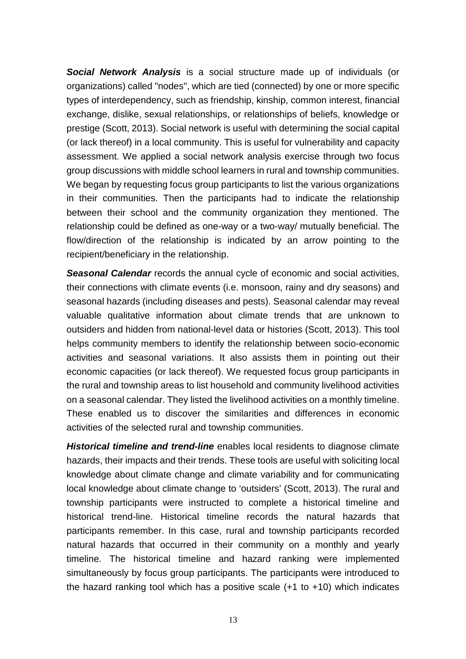*Social Network Analysis* is a social structure made up of individuals (or organizations) called "nodes", which are tied (connected) by one or more specific types of interdependency, such as friendship, kinship, common interest, financial exchange, dislike, sexual relationships, or relationships of beliefs, knowledge or prestige (Scott, 2013). Social network is useful with determining the social capital (or lack thereof) in a local community. This is useful for vulnerability and capacity assessment. We applied a social network analysis exercise through two focus group discussions with middle school learners in rural and township communities. We began by requesting focus group participants to list the various organizations in their communities. Then the participants had to indicate the relationship between their school and the community organization they mentioned. The relationship could be defined as one-way or a two-way/ mutually beneficial. The flow/direction of the relationship is indicated by an arrow pointing to the recipient/beneficiary in the relationship.

*Seasonal Calendar* records the annual cycle of economic and social activities, their connections with climate events (i.e. monsoon, rainy and dry seasons) and seasonal hazards (including diseases and pests). Seasonal calendar may reveal valuable qualitative information about climate trends that are unknown to outsiders and hidden from national-level data or histories (Scott, 2013). This tool helps community members to identify the relationship between socio-economic activities and seasonal variations. It also assists them in pointing out their economic capacities (or lack thereof). We requested focus group participants in the rural and township areas to list household and community livelihood activities on a seasonal calendar. They listed the livelihood activities on a monthly timeline. These enabled us to discover the similarities and differences in economic activities of the selected rural and township communities.

*Historical timeline and trend-line* enables local residents to diagnose climate hazards, their impacts and their trends. These tools are useful with soliciting local knowledge about climate change and climate variability and for communicating local knowledge about climate change to 'outsiders' (Scott, 2013). The rural and township participants were instructed to complete a historical timeline and historical trend-line. Historical timeline records the natural hazards that participants remember. In this case, rural and township participants recorded natural hazards that occurred in their community on a monthly and yearly timeline. The historical timeline and hazard ranking were implemented simultaneously by focus group participants. The participants were introduced to the hazard ranking tool which has a positive scale  $(+1 \text{ to } +10)$  which indicates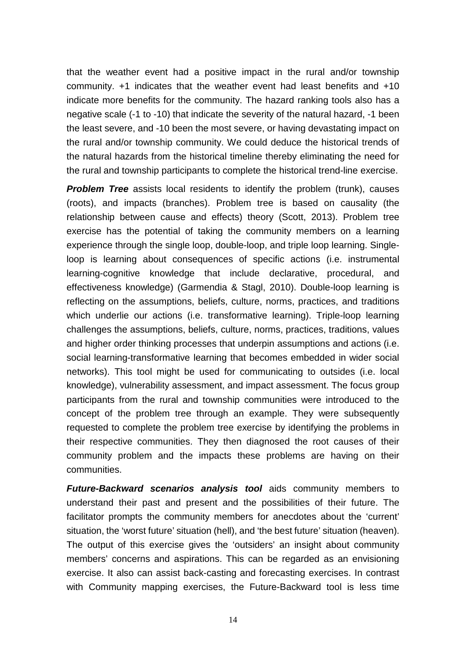that the weather event had a positive impact in the rural and/or township community. +1 indicates that the weather event had least benefits and +10 indicate more benefits for the community. The hazard ranking tools also has a negative scale (-1 to -10) that indicate the severity of the natural hazard, -1 been the least severe, and -10 been the most severe, or having devastating impact on the rural and/or township community. We could deduce the historical trends of the natural hazards from the historical timeline thereby eliminating the need for the rural and township participants to complete the historical trend-line exercise.

**Problem Tree** assists local residents to identify the problem (trunk), causes (roots), and impacts (branches). Problem tree is based on causality (the relationship between cause and effects) theory (Scott, 2013). Problem tree exercise has the potential of taking the community members on a learning experience through the single loop, double-loop, and triple loop learning. Singleloop is learning about consequences of specific actions (i.e. instrumental learning-cognitive knowledge that include declarative, procedural, and effectiveness knowledge) (Garmendia & Stagl, 2010). Double-loop learning is reflecting on the assumptions, beliefs, culture, norms, practices, and traditions which underlie our actions (i.e. transformative learning). Triple-loop learning challenges the assumptions, beliefs, culture, norms, practices, traditions, values and higher order thinking processes that underpin assumptions and actions (i.e. social learning-transformative learning that becomes embedded in wider social networks). This tool might be used for communicating to outsides (i.e. local knowledge), vulnerability assessment, and impact assessment. The focus group participants from the rural and township communities were introduced to the concept of the problem tree through an example. They were subsequently requested to complete the problem tree exercise by identifying the problems in their respective communities. They then diagnosed the root causes of their community problem and the impacts these problems are having on their communities.

*Future-Backward scenarios analysis tool* aids community members to understand their past and present and the possibilities of their future. The facilitator prompts the community members for anecdotes about the 'current' situation, the 'worst future' situation (hell), and 'the best future' situation (heaven). The output of this exercise gives the 'outsiders' an insight about community members' concerns and aspirations. This can be regarded as an envisioning exercise. It also can assist back-casting and forecasting exercises. In contrast with Community mapping exercises, the Future-Backward tool is less time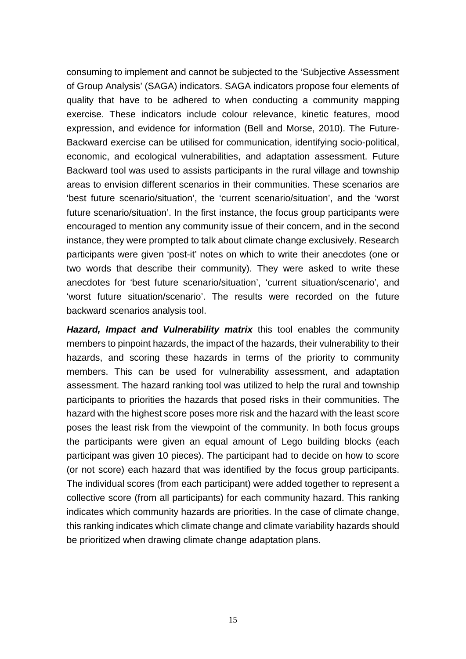consuming to implement and cannot be subjected to the 'Subjective Assessment of Group Analysis' (SAGA) indicators. SAGA indicators propose four elements of quality that have to be adhered to when conducting a community mapping exercise. These indicators include colour relevance, kinetic features, mood expression, and evidence for information (Bell and Morse, 2010). The Future-Backward exercise can be utilised for communication, identifying socio-political, economic, and ecological vulnerabilities, and adaptation assessment. Future Backward tool was used to assists participants in the rural village and township areas to envision different scenarios in their communities. These scenarios are 'best future scenario/situation', the 'current scenario/situation', and the 'worst future scenario/situation'. In the first instance, the focus group participants were encouraged to mention any community issue of their concern, and in the second instance, they were prompted to talk about climate change exclusively. Research participants were given 'post-it' notes on which to write their anecdotes (one or two words that describe their community). They were asked to write these anecdotes for 'best future scenario/situation', 'current situation/scenario', and 'worst future situation/scenario'. The results were recorded on the future backward scenarios analysis tool.

*Hazard, Impact and Vulnerability matrix* this tool enables the community members to pinpoint hazards, the impact of the hazards, their vulnerability to their hazards, and scoring these hazards in terms of the priority to community members. This can be used for vulnerability assessment, and adaptation assessment. The hazard ranking tool was utilized to help the rural and township participants to priorities the hazards that posed risks in their communities. The hazard with the highest score poses more risk and the hazard with the least score poses the least risk from the viewpoint of the community. In both focus groups the participants were given an equal amount of Lego building blocks (each participant was given 10 pieces). The participant had to decide on how to score (or not score) each hazard that was identified by the focus group participants. The individual scores (from each participant) were added together to represent a collective score (from all participants) for each community hazard. This ranking indicates which community hazards are priorities. In the case of climate change, this ranking indicates which climate change and climate variability hazards should be prioritized when drawing climate change adaptation plans.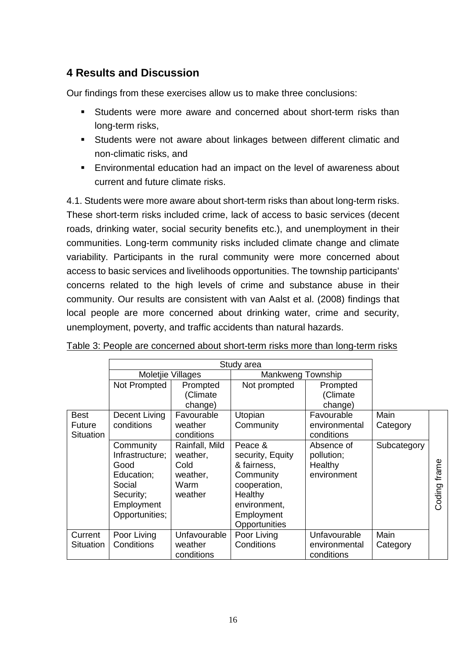## **4 Results and Discussion**

Our findings from these exercises allow us to make three conclusions:

- Students were more aware and concerned about short-term risks than long-term risks,
- Students were not aware about linkages between different climatic and non-climatic risks, and
- Environmental education had an impact on the level of awareness about current and future climate risks.

4.1. Students were more aware about short-term risks than about long-term risks. These short-term risks included crime, lack of access to basic services (decent roads, drinking water, social security benefits etc.), and unemployment in their communities. Long-term community risks included climate change and climate variability. Participants in the rural community were more concerned about access to basic services and livelihoods opportunities. The township participants' concerns related to the high levels of crime and substance abuse in their community. Our results are consistent with van Aalst et al. (2008) findings that local people are more concerned about drinking water, crime and security, unemployment, poverty, and traffic accidents than natural hazards.

|                                           | Moletjie Villages                                                                                         |                                                                   |                                                                                                                                   |                                                    |                  |                 |
|-------------------------------------------|-----------------------------------------------------------------------------------------------------------|-------------------------------------------------------------------|-----------------------------------------------------------------------------------------------------------------------------------|----------------------------------------------------|------------------|-----------------|
|                                           | Not Prompted                                                                                              | Prompted<br>(Climate                                              | Not prompted                                                                                                                      | Prompted<br>(Climate                               |                  |                 |
|                                           |                                                                                                           | change)                                                           |                                                                                                                                   | change)                                            |                  |                 |
| <b>Best</b><br>Future<br><b>Situation</b> | Decent Living<br>conditions                                                                               | Favourable<br>weather<br>conditions                               | Utopian<br>Community                                                                                                              | Favourable<br>environmental<br>conditions          | Main<br>Category |                 |
|                                           | Community<br>Infrastructure;<br>Good<br>Education;<br>Social<br>Security;<br>Employment<br>Opportunities; | Rainfall, Mild<br>weather,<br>Cold<br>weather,<br>Warm<br>weather | Peace &<br>security, Equity<br>& fairness,<br>Community<br>cooperation,<br>Healthy<br>environment,<br>Employment<br>Opportunities | Absence of<br>pollution;<br>Healthy<br>environment | Subcategory      | frame<br>Coding |
| Current<br>Situation                      | Poor Living<br>Conditions                                                                                 | Unfavourable<br>weather<br>conditions                             | Poor Living<br>Conditions                                                                                                         | Unfavourable<br>environmental<br>conditions        | Main<br>Category |                 |

Table 3: People are concerned about short-term risks more than long-term risks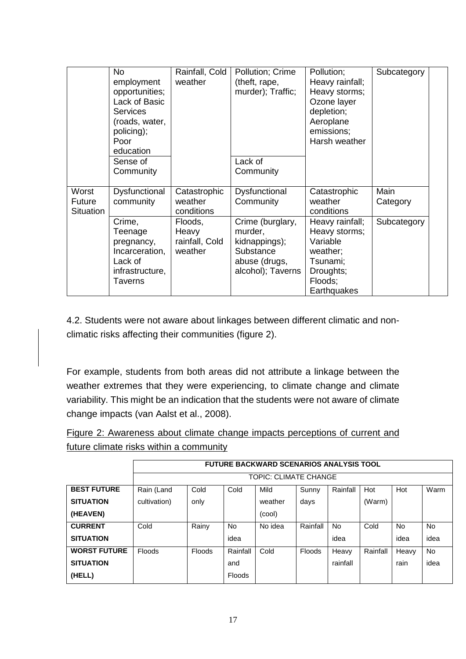|                                     | <b>No</b><br>employment<br>opportunities;<br>Lack of Basic<br><b>Services</b><br>(roads, water,<br>policing);<br>Poor<br>education<br>Sense of<br>Community | Rainfall, Cold<br>weather                     | Pollution; Crime<br>(theft, rape,<br>murder); Traffic;<br>Lack of<br>Community                  | Pollution;<br>Heavy rainfall;<br>Heavy storms;<br>Ozone layer<br>depletion;<br>Aeroplane<br>emissions;<br>Harsh weather | Subcategory      |
|-------------------------------------|-------------------------------------------------------------------------------------------------------------------------------------------------------------|-----------------------------------------------|-------------------------------------------------------------------------------------------------|-------------------------------------------------------------------------------------------------------------------------|------------------|
| Worst<br>Future<br><b>Situation</b> | Dysfunctional<br>community                                                                                                                                  | Catastrophic<br>weather<br>conditions         | Dysfunctional<br>Community                                                                      | Catastrophic<br>weather<br>conditions                                                                                   | Main<br>Category |
|                                     | Crime,<br>Teenage<br>pregnancy,<br>Incarceration,<br>Lack of<br>infrastructure,<br><b>Taverns</b>                                                           | Floods,<br>Heavy<br>rainfall, Cold<br>weather | Crime (burglary,<br>murder,<br>kidnappings);<br>Substance<br>abuse (drugs,<br>alcohol); Taverns | Heavy rainfall;<br>Heavy storms;<br>Variable<br>weather;<br>Tsunami;<br>Droughts;<br>Floods;<br>Earthquakes             | Subcategory      |

4.2. Students were not aware about linkages between different climatic and nonclimatic risks affecting their communities (figure 2).

For example, students from both areas did not attribute a linkage between the weather extremes that they were experiencing, to climate change and climate variability. This might be an indication that the students were not aware of climate change impacts (van Aalst et al., 2008).

|                                         |  |  | Figure 2: Awareness about climate change impacts perceptions of current and |  |
|-----------------------------------------|--|--|-----------------------------------------------------------------------------|--|
| future climate risks within a community |  |  |                                                                             |  |

|                     | <b>FUTURE BACKWARD SCENARIOS ANALYSIS TOOL</b> |               |               |         |               |           |          |           |      |
|---------------------|------------------------------------------------|---------------|---------------|---------|---------------|-----------|----------|-----------|------|
|                     | <b>TOPIC: CLIMATE CHANGE</b>                   |               |               |         |               |           |          |           |      |
| <b>BEST FUTURE</b>  | Rain (Land                                     | Cold          | Cold          | Mild    | Sunny         | Rainfall  | Hot      | Hot       | Warm |
| <b>SITUATION</b>    | cultivation)                                   | only          |               | weather | days          |           | (Warm)   |           |      |
| (HEAVEN)            |                                                |               |               | (cool)  |               |           |          |           |      |
| <b>CURRENT</b>      | Cold                                           | Rainy         | <b>No</b>     | No idea | Rainfall      | <b>No</b> | Cold     | <b>No</b> | No   |
| <b>SITUATION</b>    |                                                |               | idea          |         |               | idea      |          | idea      | idea |
| <b>WORST FUTURE</b> | Floods                                         | <b>Floods</b> | Rainfall      | Cold    | <b>Floods</b> | Heavy     | Rainfall | Heavy     | No   |
| <b>SITUATION</b>    |                                                |               | and           |         |               | rainfall  |          | rain      | idea |
| (HELL)              |                                                |               | <b>Floods</b> |         |               |           |          |           |      |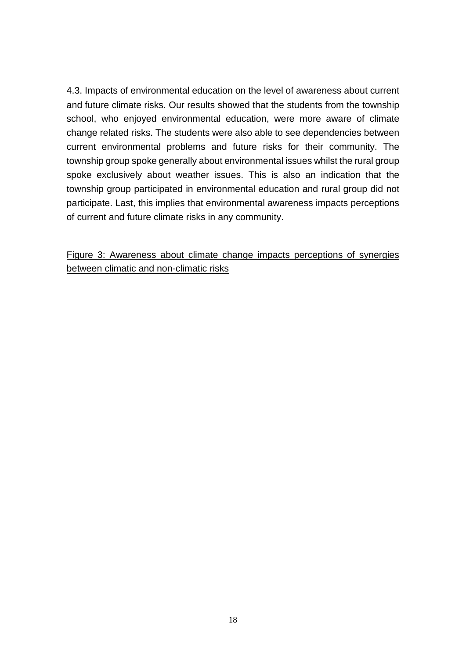4.3. Impacts of environmental education on the level of awareness about current and future climate risks. Our results showed that the students from the township school, who enjoyed environmental education, were more aware of climate change related risks. The students were also able to see dependencies between current environmental problems and future risks for their community. The township group spoke generally about environmental issues whilst the rural group spoke exclusively about weather issues. This is also an indication that the township group participated in environmental education and rural group did not participate. Last, this implies that environmental awareness impacts perceptions of current and future climate risks in any community.

## Figure 3: Awareness about climate change impacts perceptions of synergies between climatic and non-climatic risks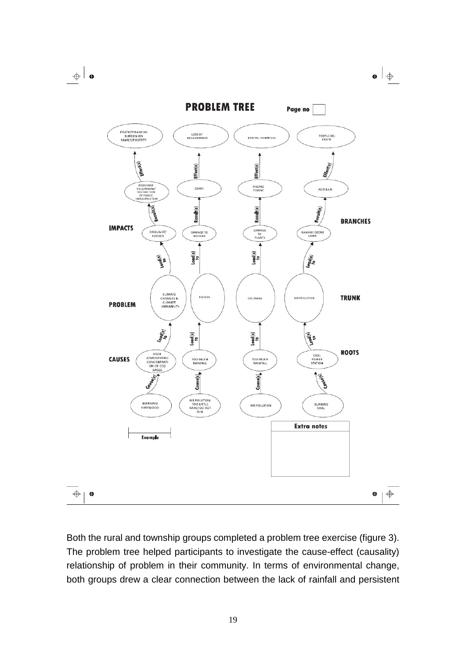$\leftrightarrow$   $\bullet$ 



Both the rural and township groups completed a problem tree exercise (figure 3). The problem tree helped participants to investigate the cause-effect (causality) relationship of problem in their community. In terms of environmental change, both groups drew a clear connection between the lack of rainfall and persistent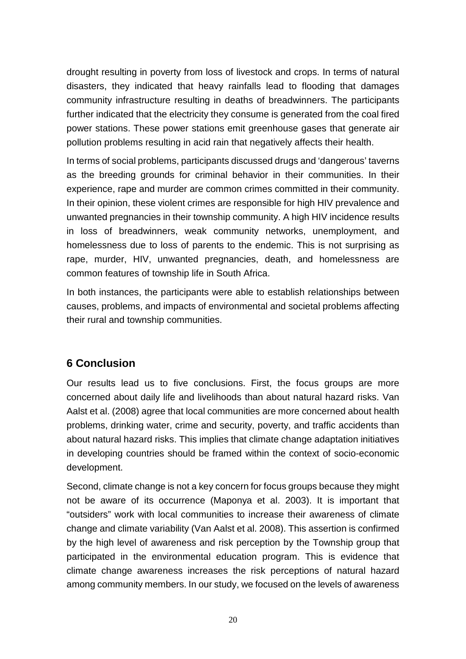drought resulting in poverty from loss of livestock and crops. In terms of natural disasters, they indicated that heavy rainfalls lead to flooding that damages community infrastructure resulting in deaths of breadwinners. The participants further indicated that the electricity they consume is generated from the coal fired power stations. These power stations emit greenhouse gases that generate air pollution problems resulting in acid rain that negatively affects their health.

In terms of social problems, participants discussed drugs and 'dangerous' taverns as the breeding grounds for criminal behavior in their communities. In their experience, rape and murder are common crimes committed in their community. In their opinion, these violent crimes are responsible for high HIV prevalence and unwanted pregnancies in their township community. A high HIV incidence results in loss of breadwinners, weak community networks, unemployment, and homelessness due to loss of parents to the endemic. This is not surprising as rape, murder, HIV, unwanted pregnancies, death, and homelessness are common features of township life in South Africa.

In both instances, the participants were able to establish relationships between causes, problems, and impacts of environmental and societal problems affecting their rural and township communities.

## **6 Conclusion**

Our results lead us to five conclusions. First, the focus groups are more concerned about daily life and livelihoods than about natural hazard risks. Van Aalst et al. (2008) agree that local communities are more concerned about health problems, drinking water, crime and security, poverty, and traffic accidents than about natural hazard risks. This implies that climate change adaptation initiatives in developing countries should be framed within the context of socio-economic development.

Second, climate change is not a key concern for focus groups because they might not be aware of its occurrence (Maponya et al. 2003). It is important that "outsiders" work with local communities to increase their awareness of climate change and climate variability (Van Aalst et al. 2008). This assertion is confirmed by the high level of awareness and risk perception by the Township group that participated in the environmental education program. This is evidence that climate change awareness increases the risk perceptions of natural hazard among community members. In our study, we focused on the levels of awareness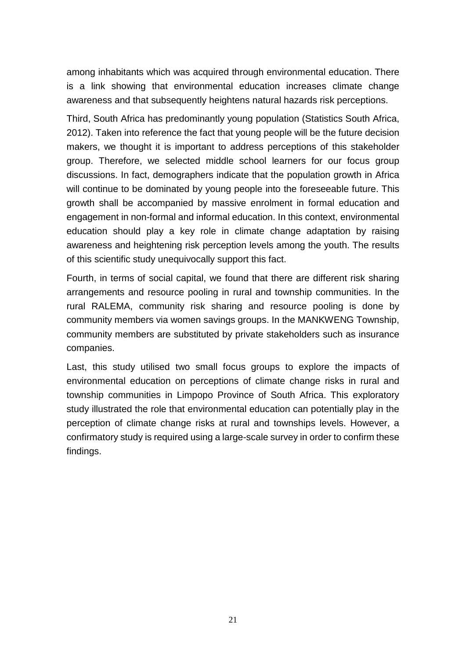among inhabitants which was acquired through environmental education. There is a link showing that environmental education increases climate change awareness and that subsequently heightens natural hazards risk perceptions.

Third, South Africa has predominantly young population (Statistics South Africa, 2012). Taken into reference the fact that young people will be the future decision makers, we thought it is important to address perceptions of this stakeholder group. Therefore, we selected middle school learners for our focus group discussions. In fact, demographers indicate that the population growth in Africa will continue to be dominated by young people into the foreseeable future. This growth shall be accompanied by massive enrolment in formal education and engagement in non-formal and informal education. In this context, environmental education should play a key role in climate change adaptation by raising awareness and heightening risk perception levels among the youth. The results of this scientific study unequivocally support this fact.

Fourth, in terms of social capital, we found that there are different risk sharing arrangements and resource pooling in rural and township communities. In the rural RALEMA, community risk sharing and resource pooling is done by community members via women savings groups. In the MANKWENG Township, community members are substituted by private stakeholders such as insurance companies.

Last, this study utilised two small focus groups to explore the impacts of environmental education on perceptions of climate change risks in rural and township communities in Limpopo Province of South Africa. This exploratory study illustrated the role that environmental education can potentially play in the perception of climate change risks at rural and townships levels. However, a confirmatory study is required using a large-scale survey in order to confirm these findings.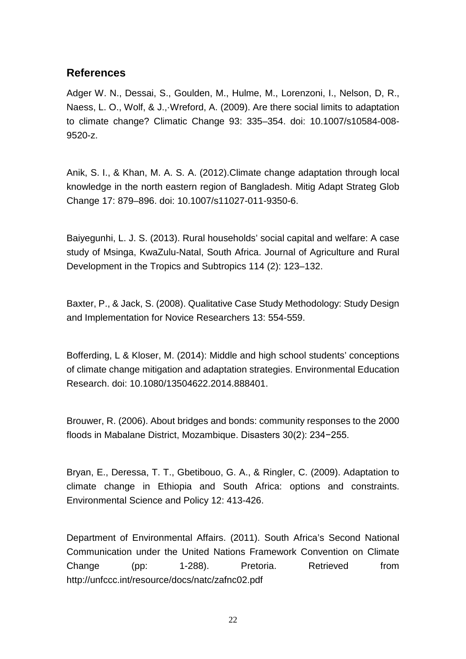## **References**

Adger W. N., Dessai, S., Goulden, M., Hulme, M., Lorenzoni, I., Nelson, D, R., Naess, L. O., Wolf, & J.,·Wreford, A. (2009). Are there social limits to adaptation to climate change? Climatic Change 93: 335–354. doi: 10.1007/s10584-008- 9520-z.

Anik, S. I., & Khan, M. A. S. A. (2012).Climate change adaptation through local knowledge in the north eastern region of Bangladesh. Mitig Adapt Strateg Glob Change 17: 879–896. doi: 10.1007/s11027-011-9350-6.

Baiyegunhi, L. J. S. (2013). Rural households' social capital and welfare: A case study of Msinga, KwaZulu-Natal, South Africa. Journal of Agriculture and Rural Development in the Tropics and Subtropics 114 (2): 123–132.

Baxter, P., & Jack, S. (2008). Qualitative Case Study Methodology: Study Design and Implementation for Novice Researchers 13: 554-559.

Bofferding, L & Kloser, M. (2014): Middle and high school students' conceptions of climate change mitigation and adaptation strategies. Environmental Education Research. doi: 10.1080/13504622.2014.888401.

Brouwer, R. (2006). About bridges and bonds: community responses to the 2000 floods in Mabalane District, Mozambique. Disasters 30(2): 234−255.

Bryan, E., Deressa, T. T., Gbetibouo, G. A., & Ringler, C. (2009). Adaptation to climate change in Ethiopia and South Africa: options and constraints. Environmental Science and Policy 12: 413-426.

Department of Environmental Affairs. (2011). South Africa's Second National Communication under the United Nations Framework Convention on Climate Change (pp: 1-288). Pretoria. Retrieved from http://unfccc.int/resource/docs/natc/zafnc02.pdf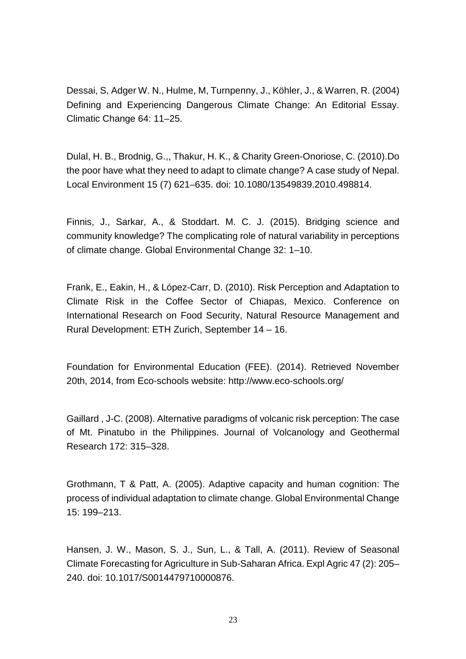Dessai, S, Adger W. N., Hulme, M, Turnpenny, J., Köhler, J., & Warren, R. (2004) Defining and Experiencing Dangerous Climate Change: An Editorial Essay. Climatic Change 64: 11–25.

Dulal, H. B., Brodnig, G.,, Thakur, H. K., & Charity Green-Onoriose, C. (2010).Do the poor have what they need to adapt to climate change? A case study of Nepal. Local Environment 15 (7) 621–635. doi: 10.1080/13549839.2010.498814.

Finnis, J., Sarkar, A., & Stoddart. M. C. J. (2015). Bridging science and community knowledge? The complicating role of natural variability in perceptions of climate change. Global Environmental Change 32: 1–10.

Frank, E., Eakin, H., & López-Carr, D. (2010). Risk Perception and Adaptation to Climate Risk in the Coffee Sector of Chiapas, Mexico. Conference on International Research on Food Security, Natural Resource Management and Rural Development: ETH Zurich, September 14 – 16.

Foundation for Environmental Education (FEE). (2014). Retrieved November 20th, 2014, from Eco-schools website: http://www.eco-schools.org/

Gaillard , J-C. (2008). Alternative paradigms of volcanic risk perception: The case of Mt. Pinatubo in the Philippines. Journal of Volcanology and Geothermal Research 172: 315–328.

Grothmann, T & Patt, A. (2005). Adaptive capacity and human cognition: The process of individual adaptation to climate change. Global Environmental Change 15: 199–213.

Hansen, J. W., Mason, S. J., Sun, L., & Tall, A. (2011). Review of Seasonal Climate Forecasting for Agriculture in Sub-Saharan Africa. Expl Agric 47 (2): 205– 240. doi: 10.1017/S0014479710000876.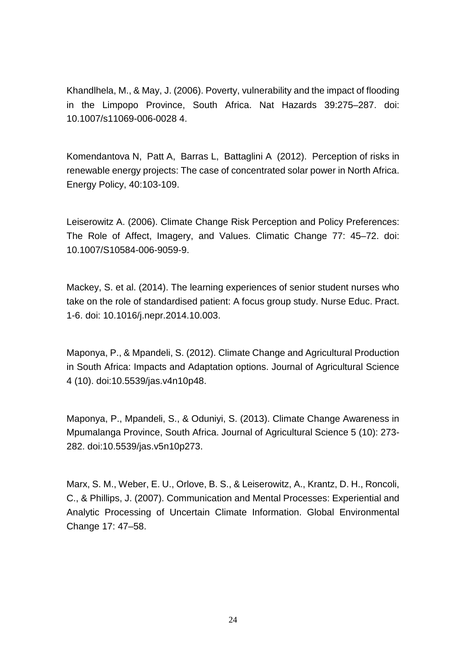Khandlhela, M., & May, J. (2006). Poverty, vulnerability and the impact of flooding in the Limpopo Province, South Africa. Nat Hazards 39:275–287. doi: 10.1007/s11069-006-0028 4.

Komendantova N, Patt A, Barras L, Battaglini A (2012). Perception of risks in renewable energy projects: The case of concentrated solar power in North Africa. Energy Policy, 40:103-109.

Leiserowitz A. (2006). Climate Change Risk Perception and Policy Preferences: The Role of Affect, Imagery, and Values. Climatic Change 77: 45–72. doi: 10.1007/S10584-006-9059-9.

Mackey, S. et al. (2014). The learning experiences of senior student nurses who take on the role of standardised patient: A focus group study. Nurse Educ. Pract. 1-6. doi: 10.1016/j.nepr.2014.10.003.

Maponya, P., & Mpandeli, S. (2012). Climate Change and Agricultural Production in South Africa: Impacts and Adaptation options. Journal of Agricultural Science 4 (10). doi:10.5539/jas.v4n10p48.

Maponya, P., Mpandeli, S., & Oduniyi, S. (2013). Climate Change Awareness in Mpumalanga Province, South Africa. Journal of Agricultural Science 5 (10): 273- 282. doi:10.5539/jas.v5n10p273.

Marx, S. M., Weber, E. U., Orlove, B. S., & Leiserowitz, A., Krantz, D. H., Roncoli, C., & Phillips, J. (2007). Communication and Mental Processes: Experiential and Analytic Processing of Uncertain Climate Information. Global Environmental Change 17: 47–58.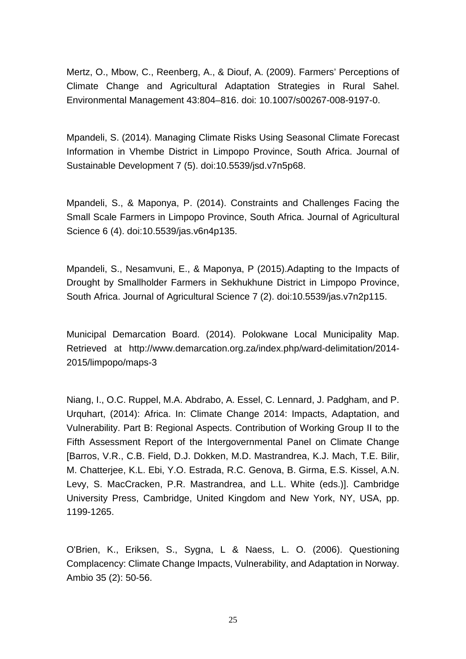Mertz, O., Mbow, C., Reenberg, A., & Diouf, A. (2009). Farmers' Perceptions of Climate Change and Agricultural Adaptation Strategies in Rural Sahel. Environmental Management 43:804–816. doi: 10.1007/s00267-008-9197-0.

Mpandeli, S. (2014). Managing Climate Risks Using Seasonal Climate Forecast Information in Vhembe District in Limpopo Province, South Africa. Journal of Sustainable Development 7 (5). doi:10.5539/jsd.v7n5p68.

Mpandeli, S., & Maponya, P. (2014). Constraints and Challenges Facing the Small Scale Farmers in Limpopo Province, South Africa. Journal of Agricultural Science 6 (4). doi:10.5539/jas.v6n4p135.

Mpandeli, S., Nesamvuni, E., & Maponya, P (2015).Adapting to the Impacts of Drought by Smallholder Farmers in Sekhukhune District in Limpopo Province, South Africa. Journal of Agricultural Science 7 (2). doi:10.5539/jas.v7n2p115.

Municipal Demarcation Board. (2014). Polokwane Local Municipality Map. Retrieved at http://www.demarcation.org.za/index.php/ward-delimitation/2014- 2015/limpopo/maps-3

Niang, I., O.C. Ruppel, M.A. Abdrabo, A. Essel, C. Lennard, J. Padgham, and P. Urquhart, (2014): Africa. In: Climate Change 2014: Impacts, Adaptation, and Vulnerability. Part B: Regional Aspects. Contribution of Working Group II to the Fifth Assessment Report of the Intergovernmental Panel on Climate Change [Barros, V.R., C.B. Field, D.J. Dokken, M.D. Mastrandrea, K.J. Mach, T.E. Bilir, M. Chatterjee, K.L. Ebi, Y.O. Estrada, R.C. Genova, B. Girma, E.S. Kissel, A.N. Levy, S. MacCracken, P.R. Mastrandrea, and L.L. White (eds.)]. Cambridge University Press, Cambridge, United Kingdom and New York, NY, USA, pp. 1199-1265.

O'Brien, K., Eriksen, S., Sygna, L & Naess, L. O. (2006). Questioning Complacency: Climate Change Impacts, Vulnerability, and Adaptation in Norway. Ambio 35 (2): 50-56.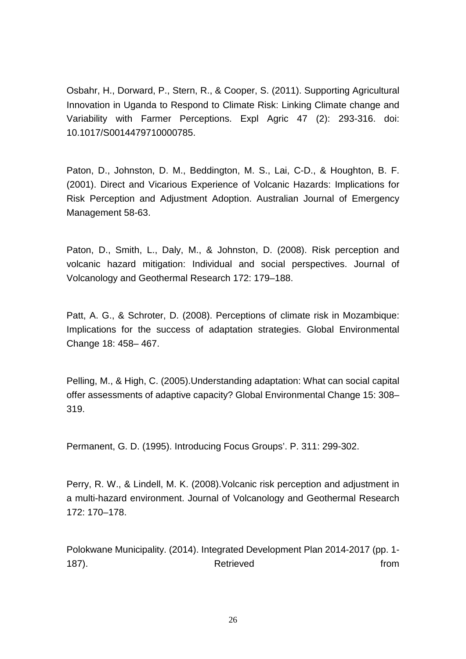Osbahr, H., Dorward, P., Stern, R., & Cooper, S. (2011). Supporting Agricultural Innovation in Uganda to Respond to Climate Risk: Linking Climate change and Variability with Farmer Perceptions. Expl Agric 47 (2): 293-316. doi: 10.1017/S0014479710000785.

Paton, D., Johnston, D. M., Beddington, M. S., Lai, C-D., & Houghton, B. F. (2001). Direct and Vicarious Experience of Volcanic Hazards: Implications for Risk Perception and Adjustment Adoption. Australian Journal of Emergency Management 58-63.

Paton, D., Smith, L., Daly, M., & Johnston, D. (2008). Risk perception and volcanic hazard mitigation: Individual and social perspectives. Journal of Volcanology and Geothermal Research 172: 179–188.

Patt, A. G., & Schroter, D. (2008). Perceptions of climate risk in Mozambique: Implications for the success of adaptation strategies. Global Environmental Change 18: 458– 467.

Pelling, M., & High, C. (2005).Understanding adaptation: What can social capital offer assessments of adaptive capacity? Global Environmental Change 15: 308– 319.

Permanent, G. D. (1995). Introducing Focus Groups'. P. 311: 299-302.

Perry, R. W., & Lindell, M. K. (2008).Volcanic risk perception and adjustment in a multi-hazard environment. Journal of Volcanology and Geothermal Research 172: 170–178.

Polokwane Municipality. (2014). Integrated Development Plan 2014-2017 (pp. 1- 187). The contract of the Retrieved contract of the from the from the from the from the from the from the from  $\sim$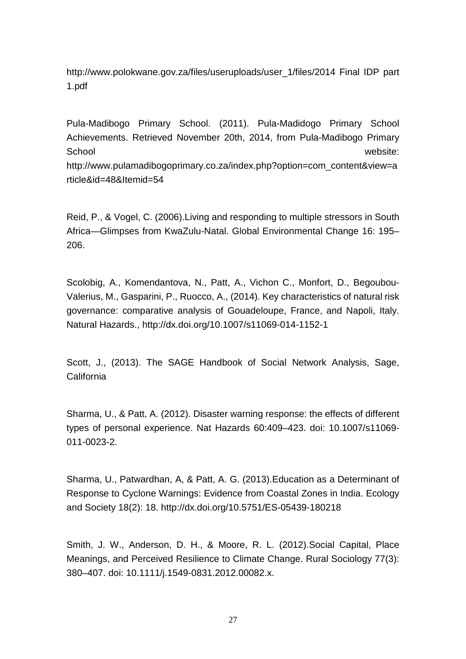http://www.polokwane.gov.za/files/useruploads/user\_1/files/2014 Final IDP part 1.pdf

Pula-Madibogo Primary School. (2011). Pula-Madidogo Primary School Achievements. Retrieved November 20th, 2014, from Pula-Madibogo Primary School website: http://www.pulamadibogoprimary.co.za/index.php?option=com\_content&view=a rticle&id=48&Itemid=54

Reid, P., & Vogel, C. (2006).Living and responding to multiple stressors in South Africa—Glimpses from KwaZulu-Natal. Global Environmental Change 16: 195– 206.

Scolobig, A., Komendantova, N., Patt, A., Vichon C., Monfort, D., Begoubou-Valerius, M., Gasparini, P., Ruocco, A., (2014). Key characteristics of natural risk governance: comparative analysis of Gouadeloupe, France, and Napoli, Italy. Natural Hazards., http://dx.doi.org/10.1007/s11069-014-1152-1

Scott, J., (2013). The SAGE Handbook of Social Network Analysis, Sage, California

Sharma, U., & Patt, A. (2012). Disaster warning response: the effects of different types of personal experience. Nat Hazards 60:409–423. doi: 10.1007/s11069- 011-0023-2.

Sharma, U., Patwardhan, A, & Patt, A. G. (2013).Education as a Determinant of Response to Cyclone Warnings: Evidence from Coastal Zones in India. Ecology and Society 18(2): 18. http://dx.doi.org/10.5751/ES-05439-180218

Smith, J. W., Anderson, D. H., & Moore, R. L. (2012).Social Capital, Place Meanings, and Perceived Resilience to Climate Change. Rural Sociology 77(3): 380–407. doi: 10.1111/j.1549-0831.2012.00082.x.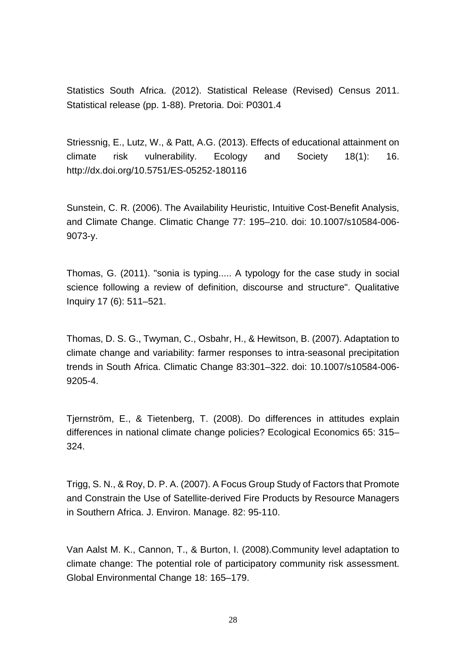Statistics South Africa. (2012). Statistical Release (Revised) Census 2011. Statistical release (pp. 1-88). Pretoria. Doi: P0301.4

Striessnig, E., Lutz, W., & Patt, A.G. (2013). Effects of educational attainment on climate risk vulnerability. Ecology and Society 18(1): 16. http://dx.doi.org/10.5751/ES-05252-180116

Sunstein, C. R. (2006). The Availability Heuristic, Intuitive Cost-Benefit Analysis, and Climate Change. Climatic Change 77: 195–210. doi: 10.1007/s10584-006- 9073-y.

Thomas, G. (2011). "sonia is typing..... A typology for the case study in social science following a review of definition, discourse and structure". Qualitative Inquiry 17 (6): 511–521.

Thomas, D. S. G., Twyman, C., Osbahr, H., & Hewitson, B. (2007). Adaptation to climate change and variability: farmer responses to intra-seasonal precipitation trends in South Africa. Climatic Change 83:301–322. doi: 10.1007/s10584-006- 9205-4.

Tjernström, E., & Tietenberg, T. (2008). Do differences in attitudes explain differences in national climate change policies? Ecological Economics 65: 315– 324.

Trigg, S. N., & Roy, D. P. A. (2007). A Focus Group Study of Factors that Promote and Constrain the Use of Satellite-derived Fire Products by Resource Managers in Southern Africa. J. Environ. Manage. 82: 95-110.

Van Aalst M. K., Cannon, T., & Burton, I. (2008).Community level adaptation to climate change: The potential role of participatory community risk assessment. Global Environmental Change 18: 165–179.